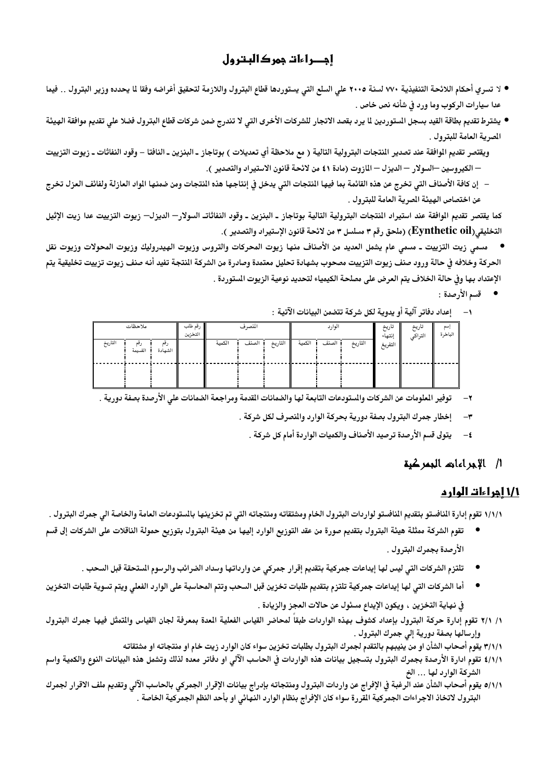# إجـراءات جمر كالبتر ول

- لا تسري أحكام اللائحة التنفيذية ٧٧٠ لسنة ٢٠٠٥ على السلع التي يستوردها قطاع البترول واللازمة لتحقيق أغراضه وفقا لما يحدده وزير البترول . . فيما عدا سيارات الركوب وما ورد في شأنه نص خاص .
- يشترط تقديم بطاقة القيد بسجل المستوردين لما يرد بقصد الاتجار للشركات الأخرى التي لا تندرج ضمن شركات قطاع البترول فضلا على تقديم موافقة الهيئة المصرية العامة للبترول .
- ويقتصر تقديم الموافقة عند تصدير النتجات البترولية التالية ( مع ملاحظة أي تعديلات ) بوتاجاز ـ البنزين ـ النافتا وقود النفاثات ـ زيوت التزييت — الكيروسين —السولار — الديزل — المازوت (مادة ٤١ من لائحة قانون الاستيراد والتصدير ).
- إن كافة الأصناف التي تخرج عن هذه القائمة بما فيها النتجات التي يدخل في إنتاجها هذه النتجات ومن ضمنها الواد العازلة ولفائف العزل تخرج عن اختصاص الهيئة المرية العامة للبترول .

كما يقتصر تقديم الوافقة عند استيراد النتجات البترولية التالية بوتاجاز ـ البنزين ـ وقود النفاثات السولار— الديزل— زيوت التزييت عدا زيت الإثيل التخليقي(Eynthetic oil) (ملحق رقم ٣ مسلسل ٣ من لائحة قانون الإستيراد والتصدير ).

مسمى زيت التزييت ـ مسمى عام يشمل العديد من الأصناف منها زيوت المحركات والتروس وزيوت الهيدروليك وزيوت المحولات وزيوت نقل  $\bullet$ الحركة وخلافه فى حالة ورود صنف زيوت التزييت مصحوب بشهادة تحليل معتمدة وصادرة من الشركة النتجة تفيد أنه صنف زيوت تزييت تخليقية يتم الإعتداد بها وفي حالة الخلاف يتم العرض على مصلحة الكيمياء لتحديد نوعية الزيوت المستوردة .

● قسم الأرصدة :

|  | ١ –      إعداد دفاتر آلية أو يدوية لكل شركة تتضمن البيانات الآتية  : |  |  |  |  |  |
|--|----------------------------------------------------------------------|--|--|--|--|--|
|--|----------------------------------------------------------------------|--|--|--|--|--|

| ملاحظات |                |                | رقم طلب<br>التخزين | المصرف |       | الوارد  |        | تاريخ<br>إنتهاء | تاريخ<br>التراكي | إسم<br>الباخرة |  |  |
|---------|----------------|----------------|--------------------|--------|-------|---------|--------|-----------------|------------------|----------------|--|--|
| التاريخ | رقم<br>القسيمة | رقم<br>الشهادة |                    | الكمية | الصنف | التاريخ | الكمية | الصنف           | التاريخ          | التفريغ        |  |  |
|         |                |                |                    |        |       |         |        |                 |                  |                |  |  |

- توفير الملومات عن الشركات والمسودعات التابعة لها والضمانات القدمة ومراجعة الضمانات على الأرصدة بصفة دورية .
	- إخطار جمرك البترول بصفة دورية بحركة الوارد والنصرف لكل شركة .  $-<sup>\mu</sup>$ 
		- يتولى قسم الأرصدة ترصيد الأصناف والكميات الواردة أمام كل شركة .  $-\epsilon$

## 1/ الإجراءات الجمركية

## 1/1 أجراءات الوار م

١/١/١ تقوم إدارة النافستو بتقديم النافستو لواردات البترول الخام ومشتقاته ومنتجاته التي تم تخزينها بالستودعات العامة والخاصة الى جمرك البترول .

- تقوم الشركة ممثلة هيئة البترول بتقديم صورة من عقد التوزيع الوارد إليها من هيئة البترول بتوزيع حمولة الناقلات على الشركات إلى قسم الأرصدة بجمرك البترول .
	- تلتزم الشركات التي ليس لها إيداعات جمركية بتقديم إقرار جمركي عن وارداتها وسداد الضرائب والرسوم الستحقة قبل السحب .
- أما الشركات التي لها إيداعات جمركية تلتزم بتقديم طلبات تخزين قبل السحب وتتم المحاسبة على الوارد الفعلى ويتم تسوية طلبات التخزين في نهاية التخزين ، ويكون الإيداع مسئول عن حالات العجز والزيادة .
- ١/ ٢/١ تقوم إدارة حركة البترول بإعداد كشوف بهذه الواردات طبقا لمحاضر القياس الفعلية العدة بمعرفة لجان القياس والتمثل فيها جمرك البترول وإرسالها بصفة دورية إلى جمرك البترول .
	- ٣/١/١ يقوم أصحاب الشأن او من ينيبهم بالتقدم لجمرك البترول بطلبات تخزين سواء كان الوارد زيت خام او منتجاته او مشتقاته
- ٤/١/١ تقوم ادارة الأرصدة بجمرك البترول بتسجيل بيانات هذه الواردات في الحاسب الآلي او دفاتر معده لذلك وتشمل هذه البيانات النوع والكمية واسم الشركة الوارد لها … الخ
- ٥/١/١ يقوم أصحاب الشأن عند الرغبة في الإفراج عن واردات البترول ومنتجاته بإدراج بيانات الإقرار الجمركي بالحاسب الآلي وتقديم ملف الاقرار لجمرك البترول لاتخاذ الاجراءات الجمركية القررة سواء كان الإفراج بنظام الوارد النهائي او بأحد النظم الجمركية الخاصة .